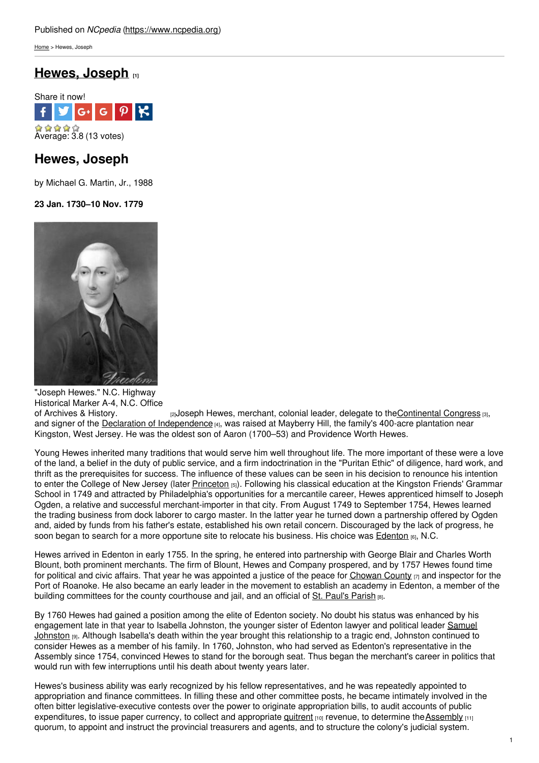[Home](https://www.ncpedia.org/) > Hewes, Joseph

# **Hewes, [Joseph](https://www.ncpedia.org/biography/hewes-joseph) [1]**



## **Hewes, Joseph**

by Michael G. Martin, Jr., 1988

## **23 Jan. 1730–10 Nov. 1779**



"Joseph Hewes." N.C. Highway Historical Marker A-4, N.C. Office<br>of Archives & History.  $_{[2]}$ Joseph Hewes, merchant, colonial leader, delegate to th[eContinental](https://www.ncpedia.org/american-revolution-part-3-north-ca) Congress  $_{[3]}$ , and signer of the Declaration of [Independence](http://www.archives.gov/exhibits/charters/declaration_transcript.html) [4], was raised at Mayberry Hill, the family's 400-acre plantation near Kingston, West Jersey. He was the oldest son of Aaron (1700–53) and Providence Worth Hewes.

Young Hewes inherited many traditions that would serve him well throughout life. The more important of these were a love of the land, a belief in the duty of public service, and a firm indoctrination in the "Puritan Ethic" of diligence, hard work, and thrift as the prerequisites for success. The influence of these values can be seen in his decision to renounce his intention to enter the College of New Jersey (later [Princeton](http://www.princeton.edu/) [5]). Following his classical education at the Kingston Friends' Grammar School in 1749 and attracted by Philadelphia's opportunities for a mercantile career, Hewes apprenticed himself to Joseph Ogden, a relative and successful merchant-importer in that city. From August 1749 to September 1754, Hewes learned the trading business from dock laborer to cargo master. In the latter year he turned down a partnership offered by Ogden and, aided by funds from his father's estate, established his own retail concern. Discouraged by the lack of progress, he soon began to search for a more opportune site to relocate his business. His choice was [Edenton](https://www.ncpedia.org/edenton) [6], N.C.

Hewes arrived in Edenton in early 1755. In the spring, he entered into partnership with George Blair and Charles Worth Blount, both prominent merchants. The firm of Blount, Hewes and Company prospered, and by 1757 Hewes found time for political and civic affairs. That year he was appointed a justice of the peace for [Chowan](https://www.ncpedia.org/geography/chowan) County  $\pi$  and inspector for the Port of Roanoke. He also became an early leader in the movement to establish an academy in Edenton, a member of the building committees for the county courthouse and jail, and an official of St. [Paul's](http://stpauls-edenton.org/history.html) Parish [8].

By 1760 Hewes had gained a position among the elite of Edenton society. No doubt his status was enhanced by his [engagement](https://www.ncpedia.org/biography/johnston-samuel) late in that year to Isabella Johnston, the younger sister of Edenton lawyer and political leader Samuel Johnston [9]. Although Isabella's death within the year brought this relationship to a tragic end, Johnston continued to consider Hewes as a member of his family. In 1760, Johnston, who had served as Edenton's representative in the Assembly since 1754, convinced Hewes to stand for the borough seat. Thus began the merchant's career in politics that would run with few interruptions until his death about twenty years later.

Hewes's business ability was early recognized by his fellow representatives, and he was repeatedly appointed to appropriation and finance committees. In filling these and other committee posts, he became intimately involved in the often bitter legislative-executive contests over the power to originate appropriation bills, to audit accounts of public expenditures, to issue paper currency, to collect and appropriate  $quitrent$   $[10]$  revenue, to determine the [Assembly](https://www.ncpedia.org/general-assembly)  $[11]$ quorum, to appoint and instruct the provincial treasurers and agents, and to structure the colony's judicial system.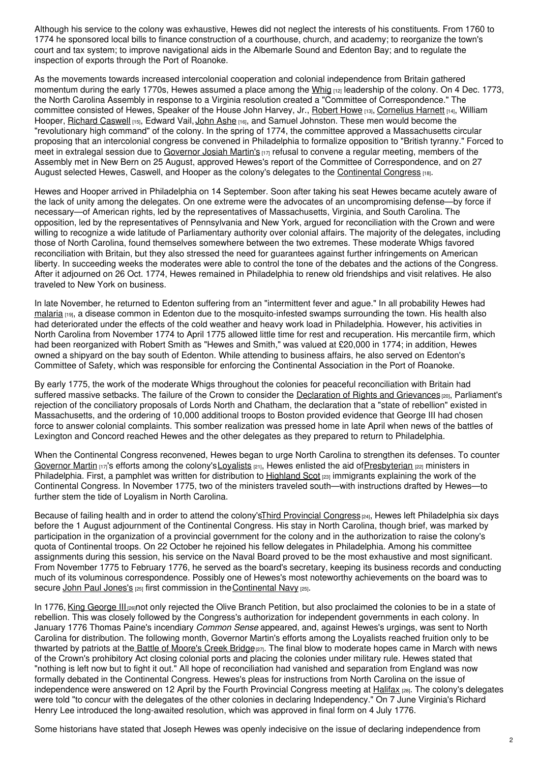Although his service to the colony was exhaustive, Hewes did not neglect the interests of his constituents. From 1760 to 1774 he sponsored local bills to finance construction of a courthouse, church, and academy; to reorganize the town's court and tax system; to improve navigational aids in the Albemarle Sound and Edenton Bay; and to regulate the inspection of exports through the Port of Roanoke.

As the movements towards increased intercolonial cooperation and colonial independence from Britain gathered momentum during the early 1770s, Hewes assumed a place among the [Whig](https://www.ncpedia.org/whig-party) [12] leadership of the colony. On 4 Dec. 1773, the North Carolina Assembly in response to a Virginia resolution created a "Committee of Correspondence." The committee consisted of Hewes, Speaker of the House John Harvey, Jr., [Robert](https://www.ncpedia.org/biography/howe-robert) Howe [13], [Cornelius](https://www.ncpedia.org/biography/harnett-cornelius) Harnett [14], William Hooper, [Richard](https://www.ncpedia.org/biography/caswell-richard-0) Caswell [15], Edward Vail, John [Ashe](https://www.ncpedia.org/biography/ashe-john) [16], and Samuel Johnston. These men would become the "revolutionary high command" of the colony. In the spring of 1774, the committee approved a Massachusetts circular proposing that an intercolonial congress be convened in Philadelphia to formalize opposition to "British tyranny." Forced to meet in extralegal session due to [Governor](https://www.ncpedia.org/martin-josiah) Josiah Martin's [17] refusal to convene a regular meeting, members of the Assembly met in New Bern on 25 August, approved Hewes's report of the Committee of Correspondence, and on 27 August selected Hewes, Caswell, and Hooper as the colony's delegates to the [Continental](https://www.ncpedia.org/history/usrevolution/continental-congress) Congress [18].

Hewes and Hooper arrived in Philadelphia on 14 September. Soon after taking his seat Hewes became acutely aware of the lack of unity among the delegates. On one extreme were the advocates of an uncompromising defense—by force if necessary—of American rights, led by the representatives of Massachusetts, Virginia, and South Carolina. The opposition, led by the representatives of Pennsylvania and New York, argued for reconciliation with the Crown and were willing to recognize a wide latitude of Parliamentary authority over colonial affairs. The majority of the delegates, including those of North Carolina, found themselves somewhere between the two extremes. These moderate Whigs favored reconciliation with Britain, but they also stressed the need for guarantees against further infringements on American liberty. In succeeding weeks the moderates were able to control the tone of the debates and the actions of the Congress. After it adjourned on 26 Oct. 1774, Hewes remained in Philadelphia to renew old friendships and visit relatives. He also traveled to New York on business.

In late November, he returned to Edenton suffering from an "intermittent fever and ague." In all probability Hewes had [malaria](https://www.ncpedia.org/malaria) [19], a disease common in Edenton due to the mosquito-infested swamps surrounding the town. His health also had deteriorated under the effects of the cold weather and heavy work load in Philadelphia. However, his activities in North Carolina from November 1774 to April 1775 allowed little time for rest and recuperation. His mercantile firm, which had been reorganized with Robert Smith as "Hewes and Smith," was valued at £20,000 in 1774; in addition, Hewes owned a shipyard on the bay south of Edenton. While attending to business affairs, he also served on Edenton's Committee of Safety, which was responsible for enforcing the Continental Association in the Port of Roanoke.

By early 1775, the work of the moderate Whigs throughout the colonies for peaceful reconciliation with Britain had suffered massive setbacks. The failure of the Crown to consider the [Declaration](http://www.loc.gov/teachers/classroommaterials/presentationsandactivities/presentations/timeline/amrev/rebelln/rights.html) of Rights and Grievances [20], Parliament's rejection of the conciliatory proposals of Lords North and Chatham, the declaration that a "state of rebellion" existed in Massachusetts, and the ordering of 10,000 additional troops to Boston provided evidence that George III had chosen force to answer colonial complaints. This somber realization was pressed home in late April when news of the battles of Lexington and Concord reached Hewes and the other delegates as they prepared to return to Philadelphia.

When the Continental Congress reconvened, Hewes began to urge North Carolina to strengthen its defenses. To counter [Governor](https://www.ncpedia.org/martin-josiah) Martin  $117$ 's efforts among the colony's [Loyalists](https://www.ncpedia.org/loyalists)  $21$ , Hewes enlisted the aid of Presbyterian  $221$  ministers in Philadelphia. First, a pamphlet was written for distribution to [Highland](https://www.ncpedia.org/highland-scots) Scot  $_{[23]}$  immigrants explaining the work of the Continental Congress. In November 1775, two of the ministers traveled south—with instructions drafted by Hewes—to further stem the tide of Loyalism in North Carolina.

Because of failing health and in order to attend the colony'sThird [Provincial](https://www.ncpedia.org/provincial-congresses) Congress [24], Hewes left Philadelphia six days before the 1 August adjournment of the Continental Congress. His stay in North Carolina, though brief, was marked by participation in the organization of a provincial government for the colony and in the authorization to raise the colony's quota of Continental troops. On 22 October he rejoined his fellow delegates in Philadelphia. Among his committee assignments during this session, his service on the Naval Board proved to be the most exhaustive and most significant. From November 1775 to February 1776, he served as the board's secretary, keeping its business records and conducting much of its voluminous correspondence. Possibly one of Hewes's most noteworthy achievements on the board was to secure John Paul [Jones's](http://www.navy.mil/navydata/traditions/html/jpjones.html) [25] first commission in the [Continental](http://www.navy.mil/navydata/traditions/html/jpjones.html) Navy [25].

In 1776, King [George](http://www.bbc.co.uk/history/historic_figures/george_iii_king.shtml) III [26]not only rejected the Olive Branch Petition, but also proclaimed the colonies to be in a state of rebellion. This was closely followed by the Congress's authorization for independent governments in each colony. In January 1776 Thomas Paine's incendiary *Common Sense* appeared, and, against Hewes's urgings, was sent to North Carolina for distribution. The following month, Governor Martin's efforts among the Loyalists reached fruition only to be thwarted by patriots at the Battle of [Moore's](https://www.ncpedia.org/moores-creek-bridge-battle) Creek Bridge<sub>[27]</sub>. The final blow to moderate hopes came in March with news of the Crown's prohibitory Act closing colonial ports and placing the colonies under military rule. Hewes stated that "nothing is left now but to fight it out." All hope of reconciliation had vanished and separation from England was now formally debated in the Continental Congress. Hewes's pleas for instructions from North Carolina on the issue of independence were answered on 12 April by the Fourth Provincial Congress meeting at [Halifax](https://www.ncpedia.org/halifax) [28]. The colony's delegates were told "to concur with the delegates of the other colonies in declaring Independency." On 7 June Virginia's Richard Henry Lee introduced the long-awaited resolution, which was approved in final form on 4 July 1776.

Some historians have stated that Joseph Hewes was openly indecisive on the issue of declaring independence from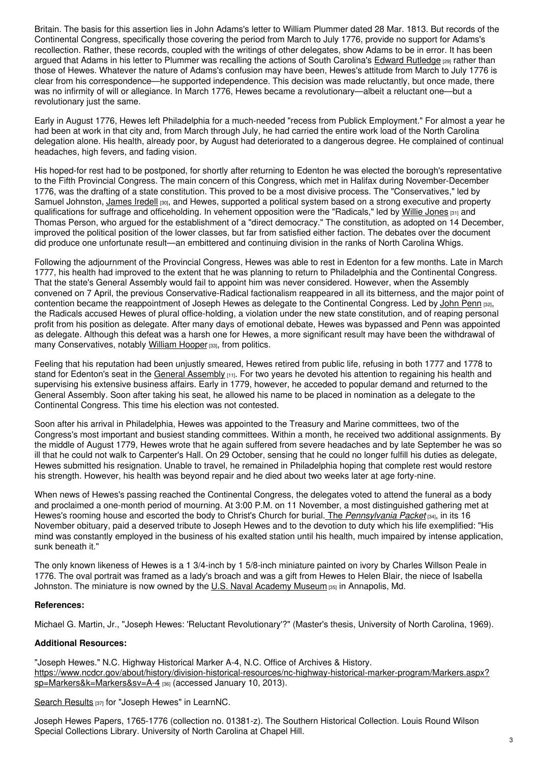Britain. The basis for this assertion lies in John Adams's letter to William Plummer dated 28 Mar. 1813. But records of the Continental Congress, specifically those covering the period from March to July 1776, provide no support for Adams's recollection. Rather, these records, coupled with the writings of other delegates, show Adams to be in error. It has been argued that Adams in his letter to Plummer was recalling the actions of South Carolina's Edward [Rutledge](http://www.sciway.net/hist/governors/erutledge.html) [29] rather than those of Hewes. Whatever the nature of Adams's confusion may have been, Hewes's attitude from March to July 1776 is clear from his correspondence—he supported independence. This decision was made reluctantly, but once made, there was no infirmity of will or allegiance. In March 1776, Hewes became a revolutionary—albeit a reluctant one—but a revolutionary just the same.

Early in August 1776, Hewes left Philadelphia for a much-needed "recess from Publick Employment." For almost a year he had been at work in that city and, from March through July, he had carried the entire work load of the North Carolina delegation alone. His health, already poor, by August had deteriorated to a dangerous degree. He complained of continual headaches, high fevers, and fading vision.

His hoped-for rest had to be postponed, for shortly after returning to Edenton he was elected the borough's representative to the Fifth Provincial Congress. The main concern of this Congress, which met in Halifax during November-December 1776, was the drafting of a state constitution. This proved to be a most divisive process. The "Conservatives," led by Samuel Johnston, [James](https://www.ncpedia.org/biography/iredell-james-sr) Iredell [30], and Hewes, supported a political system based on a strong executive and property qualifications for suffrage and officeholding. In vehement opposition were the "Radicals," led by Willie [Jones](https://www.ncpedia.org/biography/jones-willie) [31] and Thomas Person, who argued for the establishment of a "direct democracy." The constitution, as adopted on 14 December, improved the political position of the lower classes, but far from satisfied either faction. The debates over the document did produce one unfortunate result—an embittered and continuing division in the ranks of North Carolina Whigs.

Following the adjournment of the Provincial Congress, Hewes was able to rest in Edenton for a few months. Late in March 1777, his health had improved to the extent that he was planning to return to Philadelphia and the Continental Congress. That the state's General Assembly would fail to appoint him was never considered. However, when the Assembly convened on 7 April, the previous Conservative-Radical factionalism reappeared in all its bitterness, and the major point of contention became the reappointment of Joseph Hewes as delegate to the Continental Congress. Led by [John](https://www.ncpedia.org/biography/penn-john) Penn [32], the Radicals accused Hewes of plural office-holding, a violation under the new state constitution, and of reaping personal profit from his position as delegate. After many days of emotional debate, Hewes was bypassed and Penn was appointed as delegate. Although this defeat was a harsh one for Hewes, a more significant result may have been the withdrawal of many Conservatives, notably [William](https://www.ncpedia.org/biography/hooper-william) Hooper [33], from politics.

Feeling that his reputation had been unjustly smeared, Hewes retired from public life, refusing in both 1777 and 1778 to stand for Edenton's seat in the General [Assembly](https://www.ncpedia.org/general-assembly) [11]. For two years he devoted his attention to regaining his health and supervising his extensive business affairs. Early in 1779, however, he acceded to popular demand and returned to the General Assembly. Soon after taking his seat, he allowed his name to be placed in nomination as a delegate to the Continental Congress. This time his election was not contested.

Soon after his arrival in Philadelphia, Hewes was appointed to the Treasury and Marine committees, two of the Congress's most important and busiest standing committees. Within a month, he received two additional assignments. By the middle of August 1779, Hewes wrote that he again suffered from severe headaches and by late September he was so ill that he could not walk to Carpenter's Hall. On 29 October, sensing that he could no longer fulfill his duties as delegate, Hewes submitted his resignation. Unable to travel, he remained in Philadelphia hoping that complete rest would restore his strength. However, his health was beyond repair and he died about two weeks later at age forty-nine.

When news of Hewes's passing reached the Continental Congress, the delegates voted to attend the funeral as a body and proclaimed a one-month period of mourning. At 3:00 P.M. on 11 November, a most distinguished gathering met at Hewes's rooming house and escorted the body to Christ's Church for burial. The *[Pennsylvania](http://www.loc.gov/rr/news/18th/617.html) Packet* [34], in its 16 November obituary, paid a deserved tribute to Joseph Hewes and to the devotion to duty which his life exemplified: "His mind was constantly employed in the business of his exalted station until his health, much impaired by intense application, sunk beneath it."

The only known likeness of Hewes is a 1 3/4-inch by 1 5/8-inch miniature painted on ivory by Charles Willson Peale in 1776. The oval portrait was framed as a lady's broach and was a gift from Hewes to Helen Blair, the niece of Isabella Johnston. The miniature is now owned by the U.S. Naval [Academy](http://www.usna.edu/Museum/) Museum [35] in Annapolis, Md.

#### **References:**

Michael G. Martin, Jr., "Joseph Hewes: 'Reluctant Revolutionary'?" (Master's thesis, University of North Carolina, 1969).

### **Additional Resources:**

"Joseph Hewes." N.C. Highway Historical Marker A-4, N.C. Office of Archives & History. [https://www.ncdcr.gov/about/history/division-historical-resources/nc-highway-historical-marker-program/Markers.aspx?](https://www.ncdcr.gov/about/history/division-historical-resources/nc-highway-historical-marker-program/Markers.aspx?sp=Markers&k=Markers&sv=A-4) sp=Markers&k=Markers&sv=A-4 [36] (accessed January 10, 2013).

Search [Results](http://www.learnnc.org/search?phrase=Joseph+Hewes) [37] for "Joseph Hewes" in LearnNC.

Joseph Hewes Papers, 1765-1776 (collection no. 01381-z). The Southern Historical Collection. Louis Round Wilson Special Collections Library. University of North Carolina at Chapel Hill.